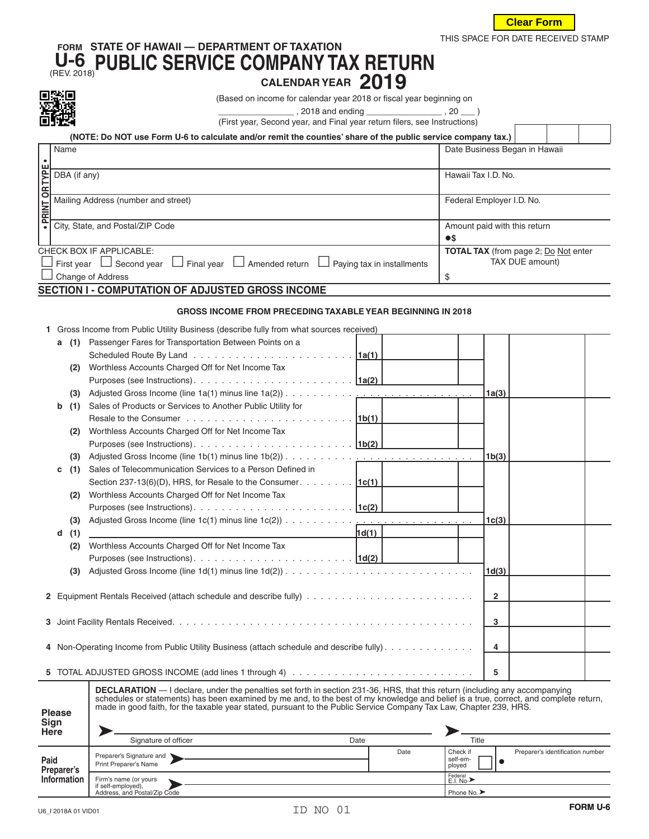

 $\Gamma$ 

 $\top$ 

 $\top$ 

## **FORM STATE OF HAWAII — DEPARTMENT OF TAXATION U-6** (REV. 2018)**PUBLIC SERVICE COMPANY TAX RETURN CALENDAR YEAR <sup>2019</sup>**



(Based on income for calendar year 2018 or fiscal year beginning on

 $\frac{1}{2}$ , 2018 and ending \_\_\_\_\_\_\_\_\_\_\_\_\_\_\_\_\_\_\_\_, 20 \_\_\_\_ )

(First year, Second year, and Final year return filers, see Instructions)

|                                                  | (NOTE: Do NOT use Form U-6 to calculate and/or remit the counties' share of the public service company tax.)                                    |                                             |  |  |  |  |
|--------------------------------------------------|-------------------------------------------------------------------------------------------------------------------------------------------------|---------------------------------------------|--|--|--|--|
|                                                  | Name                                                                                                                                            | Date Business Began in Hawaii               |  |  |  |  |
|                                                  |                                                                                                                                                 |                                             |  |  |  |  |
|                                                  |                                                                                                                                                 | Hawaii Tax I.D. No.                         |  |  |  |  |
|                                                  | <b>PLACE CORPORATION</b><br><b>CORPORATION</b><br>Mailing Address (number and street)<br><b>CORPORATION</b><br>City, State, and Postal/ZIP Code |                                             |  |  |  |  |
|                                                  |                                                                                                                                                 | Federal Employer I.D. No.                   |  |  |  |  |
|                                                  |                                                                                                                                                 |                                             |  |  |  |  |
|                                                  |                                                                                                                                                 | Amount paid with this return                |  |  |  |  |
|                                                  |                                                                                                                                                 | $\bullet$ s                                 |  |  |  |  |
|                                                  | CHECK BOX IF APPLICABLE:                                                                                                                        | <b>TOTAL TAX</b> (from page 2; Do Not enter |  |  |  |  |
|                                                  | $\Box$ Final year $\Box$ Amended return L<br>First year $\Box$ Second year<br>$\Box$ Paying tax in installments                                 | TAX DUE amount)                             |  |  |  |  |
|                                                  | Change of Address                                                                                                                               |                                             |  |  |  |  |
| AFATIALLE AAUBUTATIALLAE AB UJATEB ABAAA ILLAAUE |                                                                                                                                                 |                                             |  |  |  |  |

## **SECTION I - COMPUTATION OF ADJUSTED GROSS INCOME**

## **GROSS INCOME FROM PRECEDING TAXABLE YEAR BEGINNING IN 2018**

|  | 1 Gross Income from Public Utility Business (describe fully from what sources received) |  |
|--|-----------------------------------------------------------------------------------------|--|
|  |                                                                                         |  |

|                 | DBA (if any)<br>Hawaii Tax I.D. No. |                                                                                                                                                                                                                                                             |                                       |                      |                              |                                             |  |  |
|-----------------|-------------------------------------|-------------------------------------------------------------------------------------------------------------------------------------------------------------------------------------------------------------------------------------------------------------|---------------------------------------|----------------------|------------------------------|---------------------------------------------|--|--|
| · PRINT OR TYPE | Mailing Address (number and street) |                                                                                                                                                                                                                                                             |                                       |                      | Federal Employer I.D. No.    |                                             |  |  |
|                 |                                     | City, State, and Postal/ZIP Code                                                                                                                                                                                                                            |                                       |                      | Amount paid with this return |                                             |  |  |
|                 |                                     | $\bullet$ s                                                                                                                                                                                                                                                 |                                       |                      |                              |                                             |  |  |
|                 |                                     | CHECK BOX IF APPLICABLE:                                                                                                                                                                                                                                    |                                       |                      |                              | <b>TOTAL TAX</b> (from page 2; Do Not enter |  |  |
|                 |                                     | First year $\Box$ Second year $\Box$ Final year $\Box$ Amended return $\Box$ Paying tax in installments                                                                                                                                                     |                                       |                      |                              | TAX DUE amount)                             |  |  |
|                 |                                     | Change of Address                                                                                                                                                                                                                                           |                                       | \$                   |                              |                                             |  |  |
|                 |                                     | SECTION I - COMPUTATION OF ADJUSTED GROSS INCOME                                                                                                                                                                                                            |                                       |                      |                              |                                             |  |  |
|                 |                                     | <b>GROSS INCOME FROM PRECEDING TAXABLE YEAR BEGINNING IN 2018</b>                                                                                                                                                                                           |                                       |                      |                              |                                             |  |  |
|                 |                                     | 1 Gross Income from Public Utility Business (describe fully from what sources received)                                                                                                                                                                     |                                       |                      |                              |                                             |  |  |
|                 | (1)<br>а                            | Passenger Fares for Transportation Between Points on a                                                                                                                                                                                                      |                                       |                      |                              |                                             |  |  |
|                 |                                     |                                                                                                                                                                                                                                                             |                                       |                      |                              |                                             |  |  |
|                 | (2)                                 | Worthless Accounts Charged Off for Net Income Tax                                                                                                                                                                                                           |                                       |                      |                              |                                             |  |  |
|                 |                                     |                                                                                                                                                                                                                                                             |                                       |                      |                              |                                             |  |  |
|                 | (3)                                 |                                                                                                                                                                                                                                                             |                                       |                      | 1a(3)                        |                                             |  |  |
|                 | b<br>(1)                            | Sales of Products or Services to Another Public Utility for                                                                                                                                                                                                 |                                       |                      |                              |                                             |  |  |
|                 |                                     |                                                                                                                                                                                                                                                             |                                       |                      |                              |                                             |  |  |
|                 | (2)                                 | Worthless Accounts Charged Off for Net Income Tax                                                                                                                                                                                                           |                                       |                      |                              |                                             |  |  |
|                 |                                     |                                                                                                                                                                                                                                                             |                                       |                      |                              |                                             |  |  |
|                 | (3)                                 |                                                                                                                                                                                                                                                             |                                       |                      | 1b(3)                        |                                             |  |  |
|                 | (1)<br>с                            | Sales of Telecommunication Services to a Person Defined in                                                                                                                                                                                                  |                                       |                      |                              |                                             |  |  |
|                 |                                     | Section 237-13(6)(D), HRS, for Resale to the Consumer. $\boxed{1c(1)}$                                                                                                                                                                                      |                                       |                      |                              |                                             |  |  |
|                 | (2)                                 | Worthless Accounts Charged Off for Net Income Tax                                                                                                                                                                                                           |                                       |                      |                              |                                             |  |  |
|                 |                                     |                                                                                                                                                                                                                                                             |                                       |                      |                              |                                             |  |  |
|                 | (3)                                 | Adjusted Gross Income (line 1c(1) minus line 1c(2))                                                                                                                                                                                                         | and the company of the company of the |                      | 1 <sub>c</sub> (3)           |                                             |  |  |
|                 | (1)<br>d                            |                                                                                                                                                                                                                                                             | 1d(1)                                 |                      |                              |                                             |  |  |
|                 | (2)                                 | Worthless Accounts Charged Off for Net Income Tax                                                                                                                                                                                                           |                                       |                      |                              |                                             |  |  |
|                 |                                     |                                                                                                                                                                                                                                                             |                                       |                      |                              |                                             |  |  |
|                 | (3)                                 |                                                                                                                                                                                                                                                             |                                       |                      | 1d(3)                        |                                             |  |  |
|                 |                                     |                                                                                                                                                                                                                                                             |                                       |                      |                              |                                             |  |  |
|                 |                                     |                                                                                                                                                                                                                                                             |                                       |                      | 2                            |                                             |  |  |
|                 |                                     |                                                                                                                                                                                                                                                             |                                       |                      |                              |                                             |  |  |
|                 |                                     |                                                                                                                                                                                                                                                             |                                       |                      | 3                            |                                             |  |  |
|                 |                                     |                                                                                                                                                                                                                                                             |                                       |                      |                              |                                             |  |  |
|                 |                                     | 4 Non-Operating Income from Public Utility Business (attach schedule and describe fully).                                                                                                                                                                   |                                       |                      | 4                            |                                             |  |  |
|                 |                                     |                                                                                                                                                                                                                                                             |                                       |                      | 5                            |                                             |  |  |
|                 |                                     | <b>DECLARATION</b> — I declare, under the penalties set forth in section 231-36, HRS, that this return (including any accompanying                                                                                                                          |                                       |                      |                              |                                             |  |  |
|                 |                                     | schedules or statements) has been examined by me and, to the best of my knowledge and belief is a true, correct, and complete return,<br>made in good faith, for the taxable year stated, pursuant to the Public Service Company Tax Law, Chapter 239, HRS. |                                       |                      |                              |                                             |  |  |
|                 | <b>Please</b>                       |                                                                                                                                                                                                                                                             |                                       |                      |                              |                                             |  |  |
| Sign<br>Here    |                                     |                                                                                                                                                                                                                                                             |                                       |                      |                              |                                             |  |  |
|                 |                                     | Signature of officer                                                                                                                                                                                                                                        | Date                                  | Title                |                              |                                             |  |  |
|                 |                                     | Preparer's Signature and                                                                                                                                                                                                                                    | Date                                  | Check if<br>self-em- |                              | Preparer's identification number            |  |  |
| Paid            | Preparer's                          | Print Preparer's Name                                                                                                                                                                                                                                       |                                       | ployed               | $\bullet$                    |                                             |  |  |
|                 | Information                         | Firm's name (or yours                                                                                                                                                                                                                                       |                                       | Federal<br>E.I. No.> |                              |                                             |  |  |

| <b>Please</b><br><b>Sign</b><br>Here | <b>DECLARATION</b> — I declare, under the penalties set forth in section 231-36, HRS, that this return (including any accompanying<br>schedules or statements) has been examined by me and, to the best of my knowledge and belief is a true, correct, and complete return,<br>made in good faith, for the taxable year stated, pursuant to the Public Service Company Tax Law, Chapter 239, HRS. |      |      |                                |                                  |
|--------------------------------------|---------------------------------------------------------------------------------------------------------------------------------------------------------------------------------------------------------------------------------------------------------------------------------------------------------------------------------------------------------------------------------------------------|------|------|--------------------------------|----------------------------------|
|                                      | Signature of officer                                                                                                                                                                                                                                                                                                                                                                              | Date |      | Title                          |                                  |
| Paid<br>Preparer's                   | Preparer's Signature and<br>Print Preparer's Name                                                                                                                                                                                                                                                                                                                                                 |      | Date | Check if<br>self-em-<br>ployed | Preparer's identification number |
| Information                          | Firm's name (or yours                                                                                                                                                                                                                                                                                                                                                                             |      |      | Federal<br>E.I. No.>           |                                  |
|                                      | if self-employed),<br>Address, and Postal/Zip Code                                                                                                                                                                                                                                                                                                                                                |      |      |                                |                                  |